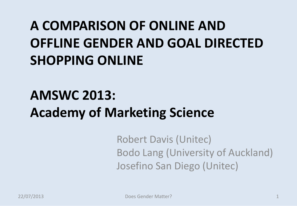# **A COMPARISON OF ONLINE AND OFFLINE GENDER AND GOAL DIRECTED SHOPPING ONLINE**

## **AMSWC 2013: Academy of Marketing Science**

Robert Davis (Unitec) Bodo Lang (University of Auckland) Josefino San Diego (Unitec)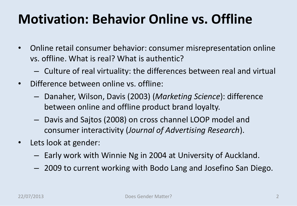### **Motivation: Behavior Online vs. Offline**

- Online retail consumer behavior: consumer misrepresentation online vs. offline. What is real? What is authentic?
	- Culture of real virtuality: the differences between real and virtual
- Difference between online vs. offline:
	- Danaher, Wilson, Davis (2003) (*Marketing Science*): difference between online and offline product brand loyalty.
	- Davis and Sajtos (2008) on cross channel LOOP model and consumer interactivity (*Journal of Advertising Research*).
- Lets look at gender:
	- Early work with Winnie Ng in 2004 at University of Auckland.
	- 2009 to current working with Bodo Lang and Josefino San Diego.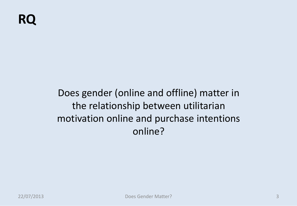Does gender (online and offline) matter in the relationship between utilitarian motivation online and purchase intentions online?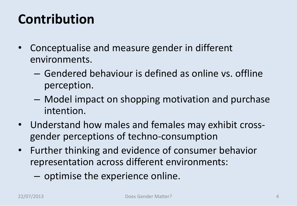### **Contribution**

- Conceptualise and measure gender in different environments.
	- Gendered behaviour is defined as online vs. offline perception.
	- Model impact on shopping motivation and purchase intention.
- Understand how males and females may exhibit crossgender perceptions of techno-consumption
- Further thinking and evidence of consumer behavior representation across different environments:
	- optimise the experience online.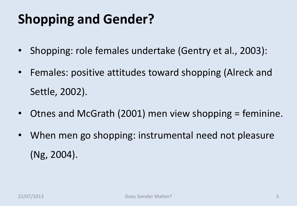## **Shopping and Gender?**

- Shopping: role females undertake (Gentry et al., 2003):
- Females: positive attitudes toward shopping (Alreck and Settle, 2002).
- Otnes and McGrath (2001) men view shopping = feminine.
- When men go shopping: instrumental need not pleasure (Ng, 2004).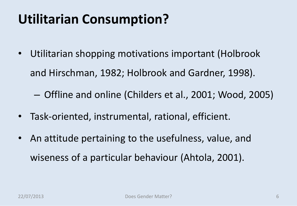### **Utilitarian Consumption?**

Utilitarian shopping motivations important (Holbrook and Hirschman, 1982; Holbrook and Gardner, 1998).

– Offline and online (Childers et al., 2001; Wood, 2005)

- Task-oriented, instrumental, rational, efficient.
- An attitude pertaining to the usefulness, value, and wiseness of a particular behaviour (Ahtola, 2001).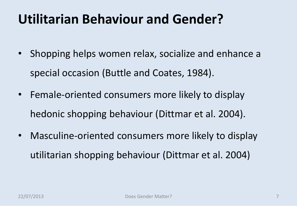### **Utilitarian Behaviour and Gender?**

- Shopping helps women relax, socialize and enhance a special occasion (Buttle and Coates, 1984).
- Female-oriented consumers more likely to display hedonic shopping behaviour (Dittmar et al. 2004).
- Masculine-oriented consumers more likely to display utilitarian shopping behaviour (Dittmar et al. 2004)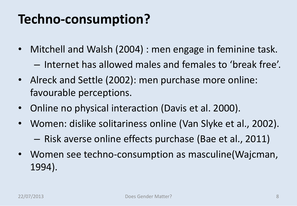## **Techno-consumption?**

- Mitchell and Walsh (2004) : men engage in feminine task. – Internet has allowed males and females to 'break free'.
- Alreck and Settle (2002): men purchase more online: favourable perceptions.
- Online no physical interaction (Davis et al. 2000).
- Women: dislike solitariness online (Van Slyke et al., 2002).
	- Risk averse online effects purchase (Bae et al., 2011)
- Women see techno-consumption as masculine(Wajcman, 1994).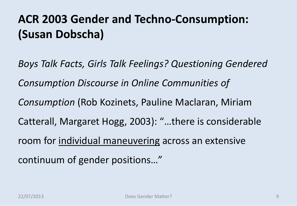#### **ACR 2003 Gender and Techno-Consumption: (Susan Dobscha)**

*Boys Talk Facts, Girls Talk Feelings? Questioning Gendered Consumption Discourse in Online Communities of Consumption* (Rob Kozinets, Pauline Maclaran, Miriam Catterall, Margaret Hogg, 2003): "…there is considerable room for individual maneuvering across an extensive continuum of gender positions…"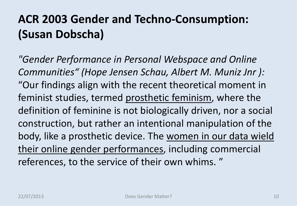#### **ACR 2003 Gender and Techno-Consumption: (Susan Dobscha)**

*"Gender Performance in Personal Webspace and Online Communities" (Hope Jensen Schau, Albert M. Muniz Jnr ):*  "Our findings align with the recent theoretical moment in feminist studies, termed prosthetic feminism, where the definition of feminine is not biologically driven, nor a social construction, but rather an intentional manipulation of the body, like a prosthetic device. The women in our data wield their online gender performances, including commercial references, to the service of their own whims. "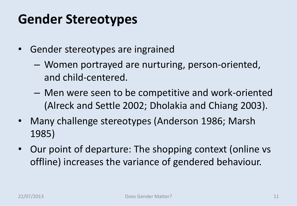### **Gender Stereotypes**

- Gender stereotypes are ingrained
	- Women portrayed are nurturing, person-oriented, and child-centered.
	- Men were seen to be competitive and work-oriented (Alreck and Settle 2002; Dholakia and Chiang 2003).
- Many challenge stereotypes (Anderson 1986; Marsh 1985)
- Our point of departure: The shopping context (online vs offline) increases the variance of gendered behaviour.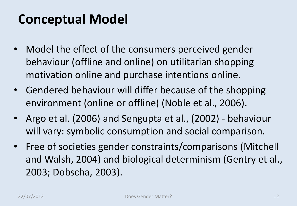### **Conceptual Model**

- Model the effect of the consumers perceived gender behaviour (offline and online) on utilitarian shopping motivation online and purchase intentions online.
- Gendered behaviour will differ because of the shopping environment (online or offline) (Noble et al., 2006).
- Argo et al. (2006) and Sengupta et al., (2002) behaviour will vary: symbolic consumption and social comparison.
- Free of societies gender constraints/comparisons (Mitchell and Walsh, 2004) and biological determinism (Gentry et al., 2003; Dobscha, 2003).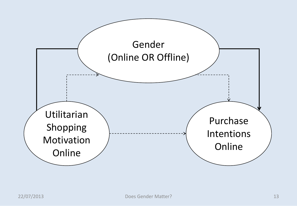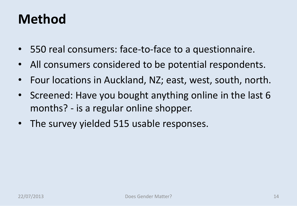### **Method**

- 550 real consumers: face-to-face to a questionnaire.
- All consumers considered to be potential respondents.
- Four locations in Auckland, NZ; east, west, south, north.
- Screened: Have you bought anything online in the last 6 months? - is a regular online shopper.
- The survey yielded 515 usable responses.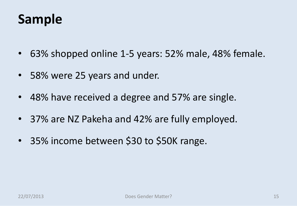### **Sample**

- 63% shopped online 1-5 years: 52% male, 48% female.
- 58% were 25 years and under.
- 48% have received a degree and 57% are single.
- 37% are NZ Pakeha and 42% are fully employed.
- 35% income between \$30 to \$50K range.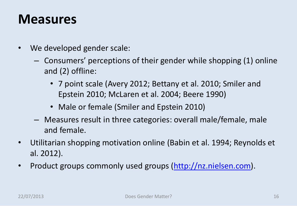#### **Measures**

- We developed gender scale:
	- Consumers' perceptions of their gender while shopping (1) online and (2) offline:
		- 7 point scale (Avery 2012; Bettany et al. 2010; Smiler and Epstein 2010; McLaren et al. 2004; Beere 1990)
		- Male or female (Smiler and Epstein 2010)
	- Measures result in three categories: overall male/female, male and female.
- Utilitarian shopping motivation online (Babin et al. 1994; Reynolds et al. 2012).
- Product groups commonly used groups [\(http://nz.nielsen.com\)](http://nz.nielsen.com/).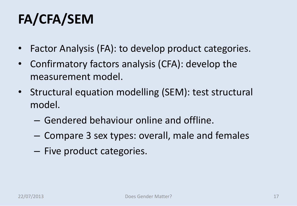# **FA/CFA/SEM**

- Factor Analysis (FA): to develop product categories.
- Confirmatory factors analysis (CFA): develop the measurement model.
- Structural equation modelling (SEM): test structural model.
	- Gendered behaviour online and offline.
	- Compare 3 sex types: overall, male and females
	- Five product categories.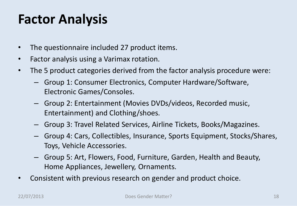### **Factor Analysis**

- The questionnaire included 27 product items.
- Factor analysis using a Varimax rotation.
- The 5 product categories derived from the factor analysis procedure were:
	- Group 1: Consumer Electronics, Computer Hardware/Software, Electronic Games/Consoles.
	- Group 2: Entertainment (Movies DVDs/videos, Recorded music, Entertainment) and Clothing/shoes.
	- Group 3: Travel Related Services, Airline Tickets, Books/Magazines.
	- Group 4: Cars, Collectibles, Insurance, Sports Equipment, Stocks/Shares, Toys, Vehicle Accessories.
	- Group 5: Art, Flowers, Food, Furniture, Garden, Health and Beauty, Home Appliances, Jewellery, Ornaments.
- Consistent with previous research on gender and product choice.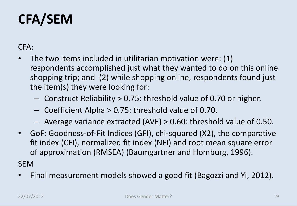# **CFA/SEM**

CFA:

- The two items included in utilitarian motivation were: (1) respondents accomplished just what they wanted to do on this online shopping trip; and (2) while shopping online, respondents found just the item(s) they were looking for:
	- Construct Reliability > 0.75: threshold value of 0.70 or higher.
	- Coefficient Alpha > 0.75: threshold value of 0.70.
	- Average variance extracted (AVE) > 0.60: threshold value of 0.50.
- GoF: Goodness-of-Fit Indices (GFI), chi-squared (X2), the comparative fit index (CFI), normalized fit index (NFI) and root mean square error of approximation (RMSEA) (Baumgartner and Homburg, 1996).

SEM

• Final measurement models showed a good fit (Bagozzi and Yi, 2012).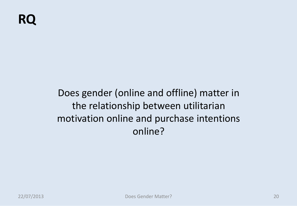Does gender (online and offline) matter in the relationship between utilitarian motivation online and purchase intentions online?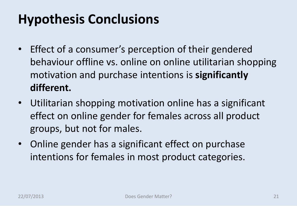## **Hypothesis Conclusions**

- Effect of a consumer's perception of their gendered behaviour offline vs. online on online utilitarian shopping motivation and purchase intentions is **significantly different.**
- Utilitarian shopping motivation online has a significant effect on online gender for females across all product groups, but not for males.
- Online gender has a significant effect on purchase intentions for females in most product categories.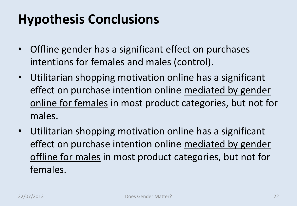## **Hypothesis Conclusions**

- Offline gender has a significant effect on purchases intentions for females and males (control).
- Utilitarian shopping motivation online has a significant effect on purchase intention online mediated by gender online for females in most product categories, but not for males.
- Utilitarian shopping motivation online has a significant effect on purchase intention online mediated by gender offline for males in most product categories, but not for females.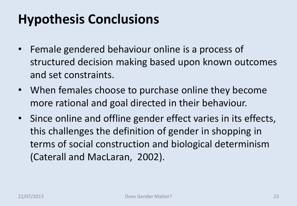## **Hypothesis Conclusions**

- Female gendered behaviour online is a process of structured decision making based upon known outcomes and set constraints.
- When females choose to purchase online they become more rational and goal directed in their behaviour.
- Since online and offline gender effect varies in its effects, this challenges the definition of gender in shopping in terms of social construction and biological determinism (Caterall and MacLaran, 2002).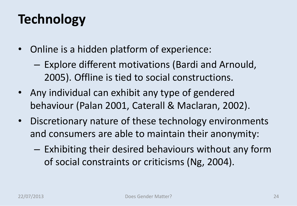## **Technology**

- Online is a hidden platform of experience:
	- Explore different motivations (Bardi and Arnould, 2005). Offline is tied to social constructions.
- Any individual can exhibit any type of gendered behaviour (Palan 2001, Caterall & Maclaran, 2002).
- Discretionary nature of these technology environments and consumers are able to maintain their anonymity:
	- Exhibiting their desired behaviours without any form of social constraints or criticisms (Ng, 2004).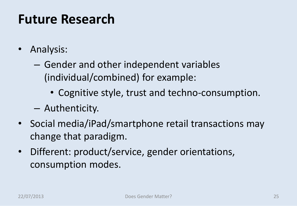### **Future Research**

- Analysis:
	- Gender and other independent variables (individual/combined) for example:
		- Cognitive style, trust and techno-consumption.
	- Authenticity.
- Social media/iPad/smartphone retail transactions may change that paradigm.
- Different: product/service, gender orientations, consumption modes.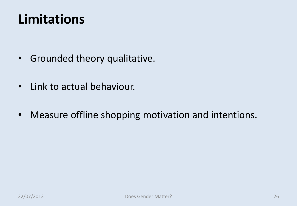### **Limitations**

- Grounded theory qualitative.
- Link to actual behaviour.
- Measure offline shopping motivation and intentions.